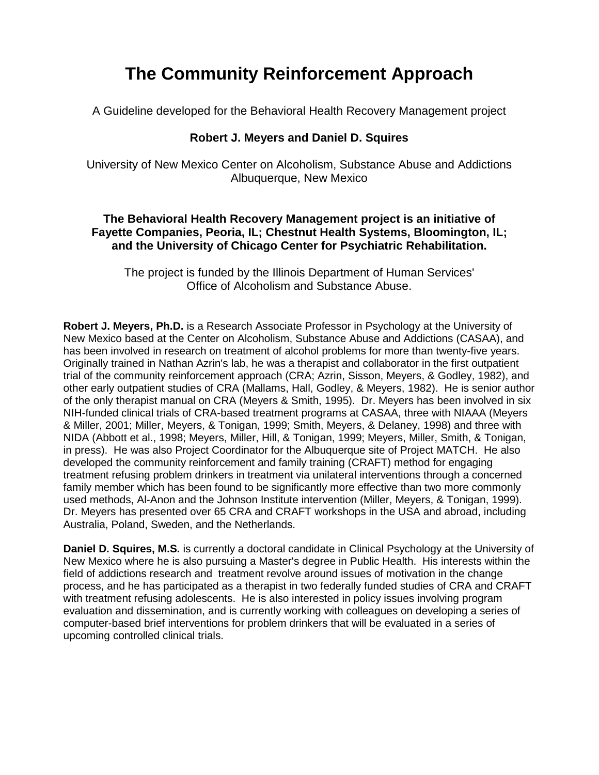# **The Community Reinforcement Approach**

A Guideline developed for the Behavioral Health Recovery Management project

## **Robert J. Meyers and Daniel D. Squires**

University of New Mexico Center on Alcoholism, Substance Abuse and Addictions Albuquerque, New Mexico

#### **The Behavioral Health Recovery Management project is an initiative of Fayette Companies, Peoria, IL; Chestnut Health Systems, Bloomington, IL; and the University of Chicago Center for Psychiatric Rehabilitation.**

The project is funded by the Illinois Department of Human Services' Office of Alcoholism and Substance Abuse.

**Robert J. Meyers, Ph.D.** is a Research Associate Professor in Psychology at the University of New Mexico based at the Center on Alcoholism, Substance Abuse and Addictions (CASAA), and has been involved in research on treatment of alcohol problems for more than twenty-five years. Originally trained in Nathan Azrin's lab, he was a therapist and collaborator in the first outpatient trial of the community reinforcement approach (CRA; Azrin, Sisson, Meyers, & Godley, 1982), and other early outpatient studies of CRA (Mallams, Hall, Godley, & Meyers, 1982). He is senior author of the only therapist manual on CRA (Meyers & Smith, 1995). Dr. Meyers has been involved in six NIH-funded clinical trials of CRA-based treatment programs at CASAA, three with NIAAA (Meyers & Miller, 2001; Miller, Meyers, & Tonigan, 1999; Smith, Meyers, & Delaney, 1998) and three with NIDA (Abbott et al., 1998; Meyers, Miller, Hill, & Tonigan, 1999; Meyers, Miller, Smith, & Tonigan, in press). He was also Project Coordinator for the Albuquerque site of Project MATCH. He also developed the community reinforcement and family training (CRAFT) method for engaging treatment refusing problem drinkers in treatment via unilateral interventions through a concerned family member which has been found to be significantly more effective than two more commonly used methods, Al-Anon and the Johnson Institute intervention (Miller, Meyers, & Tonigan, 1999). Dr. Meyers has presented over 65 CRA and CRAFT workshops in the USA and abroad, including Australia, Poland, Sweden, and the Netherlands.

**Daniel D. Squires, M.S.** is currently a doctoral candidate in Clinical Psychology at the University of New Mexico where he is also pursuing a Master's degree in Public Health. His interests within the field of addictions research and treatment revolve around issues of motivation in the change process, and he has participated as a therapist in two federally funded studies of CRA and CRAFT with treatment refusing adolescents. He is also interested in policy issues involving program evaluation and dissemination, and is currently working with colleagues on developing a series of computer-based brief interventions for problem drinkers that will be evaluated in a series of upcoming controlled clinical trials.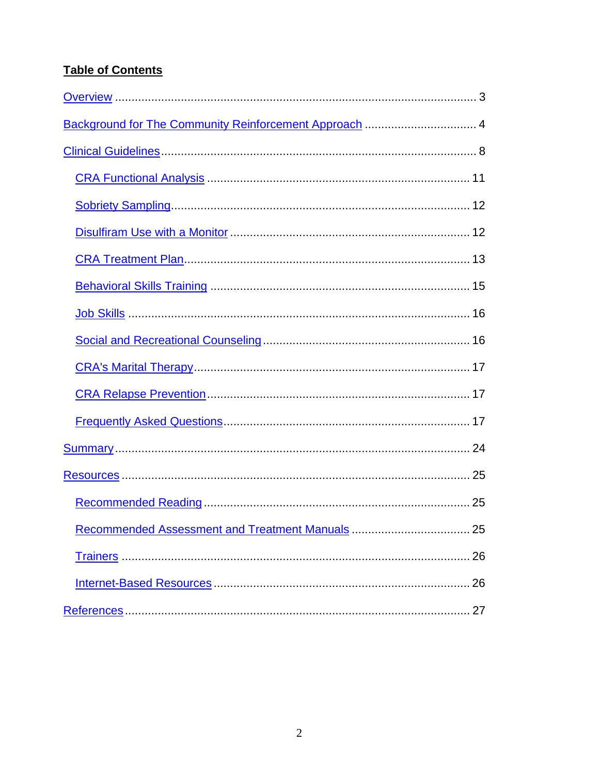# **Table of Contents**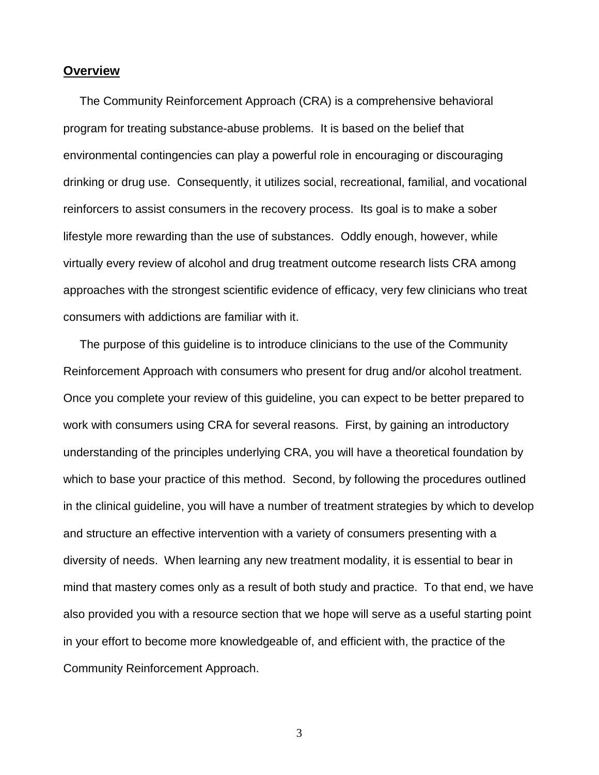## <span id="page-2-0"></span>**Overview**

 The Community Reinforcement Approach (CRA) is a comprehensive behavioral program for treating substance-abuse problems. It is based on the belief that environmental contingencies can play a powerful role in encouraging or discouraging drinking or drug use. Consequently, it utilizes social, recreational, familial, and vocational reinforcers to assist consumers in the recovery process. Its goal is to make a sober lifestyle more rewarding than the use of substances. Oddly enough, however, while virtually every review of alcohol and drug treatment outcome research lists CRA among approaches with the strongest scientific evidence of efficacy, very few clinicians who treat consumers with addictions are familiar with it.

 The purpose of this guideline is to introduce clinicians to the use of the Community Reinforcement Approach with consumers who present for drug and/or alcohol treatment. Once you complete your review of this guideline, you can expect to be better prepared to work with consumers using CRA for several reasons. First, by gaining an introductory understanding of the principles underlying CRA, you will have a theoretical foundation by which to base your practice of this method. Second, by following the procedures outlined in the clinical guideline, you will have a number of treatment strategies by which to develop and structure an effective intervention with a variety of consumers presenting with a diversity of needs. When learning any new treatment modality, it is essential to bear in mind that mastery comes only as a result of both study and practice. To that end, we have also provided you with a resource section that we hope will serve as a useful starting point in your effort to become more knowledgeable of, and efficient with, the practice of the Community Reinforcement Approach.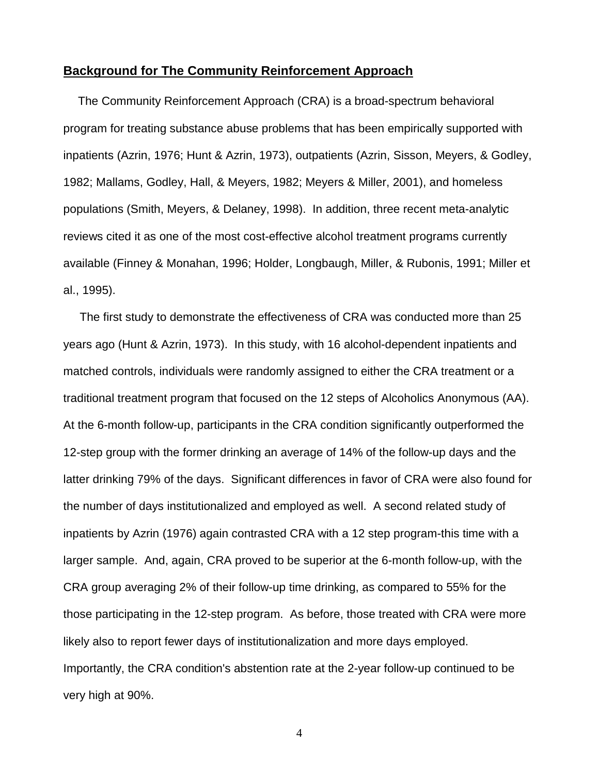#### <span id="page-3-0"></span>**Background for The Community Reinforcement Approach**

 The Community Reinforcement Approach (CRA) is a broad-spectrum behavioral program for treating substance abuse problems that has been empirically supported with inpatients (Azrin, 1976; Hunt & Azrin, 1973), outpatients (Azrin, Sisson, Meyers, & Godley, 1982; Mallams, Godley, Hall, & Meyers, 1982; Meyers & Miller, 2001), and homeless populations (Smith, Meyers, & Delaney, 1998). In addition, three recent meta-analytic reviews cited it as one of the most cost-effective alcohol treatment programs currently available (Finney & Monahan, 1996; Holder, Longbaugh, Miller, & Rubonis, 1991; Miller et al., 1995).

 The first study to demonstrate the effectiveness of CRA was conducted more than 25 years ago (Hunt & Azrin, 1973). In this study, with 16 alcohol-dependent inpatients and matched controls, individuals were randomly assigned to either the CRA treatment or a traditional treatment program that focused on the 12 steps of Alcoholics Anonymous (AA). At the 6-month follow-up, participants in the CRA condition significantly outperformed the 12-step group with the former drinking an average of 14% of the follow-up days and the latter drinking 79% of the days. Significant differences in favor of CRA were also found for the number of days institutionalized and employed as well. A second related study of inpatients by Azrin (1976) again contrasted CRA with a 12 step program-this time with a larger sample. And, again, CRA proved to be superior at the 6-month follow-up, with the CRA group averaging 2% of their follow-up time drinking, as compared to 55% for the those participating in the 12-step program. As before, those treated with CRA were more likely also to report fewer days of institutionalization and more days employed. Importantly, the CRA condition's abstention rate at the 2-year follow-up continued to be very high at 90%.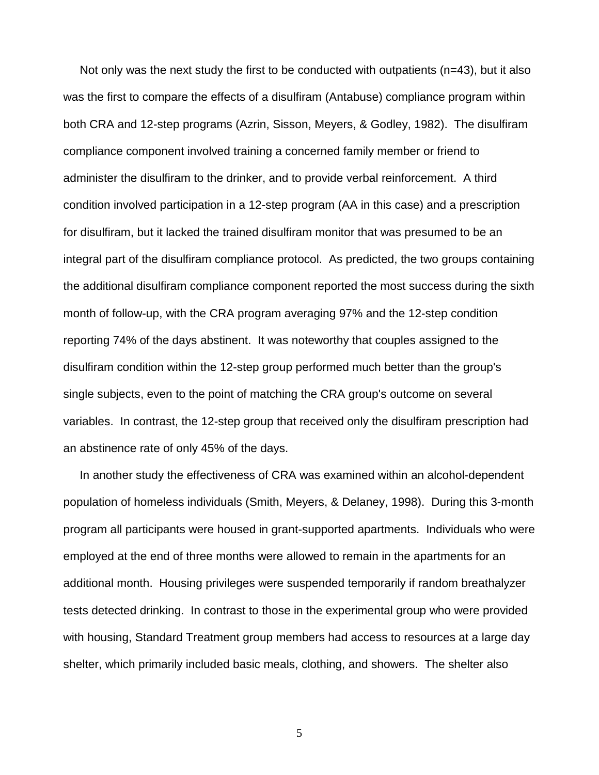Not only was the next study the first to be conducted with outpatients (n=43), but it also was the first to compare the effects of a disulfiram (Antabuse) compliance program within both CRA and 12-step programs (Azrin, Sisson, Meyers, & Godley, 1982). The disulfiram compliance component involved training a concerned family member or friend to administer the disulfiram to the drinker, and to provide verbal reinforcement. A third condition involved participation in a 12-step program (AA in this case) and a prescription for disulfiram, but it lacked the trained disulfiram monitor that was presumed to be an integral part of the disulfiram compliance protocol. As predicted, the two groups containing the additional disulfiram compliance component reported the most success during the sixth month of follow-up, with the CRA program averaging 97% and the 12-step condition reporting 74% of the days abstinent. It was noteworthy that couples assigned to the disulfiram condition within the 12-step group performed much better than the group's single subjects, even to the point of matching the CRA group's outcome on several variables. In contrast, the 12-step group that received only the disulfiram prescription had an abstinence rate of only 45% of the days.

 In another study the effectiveness of CRA was examined within an alcohol-dependent population of homeless individuals (Smith, Meyers, & Delaney, 1998). During this 3-month program all participants were housed in grant-supported apartments. Individuals who were employed at the end of three months were allowed to remain in the apartments for an additional month. Housing privileges were suspended temporarily if random breathalyzer tests detected drinking. In contrast to those in the experimental group who were provided with housing, Standard Treatment group members had access to resources at a large day shelter, which primarily included basic meals, clothing, and showers. The shelter also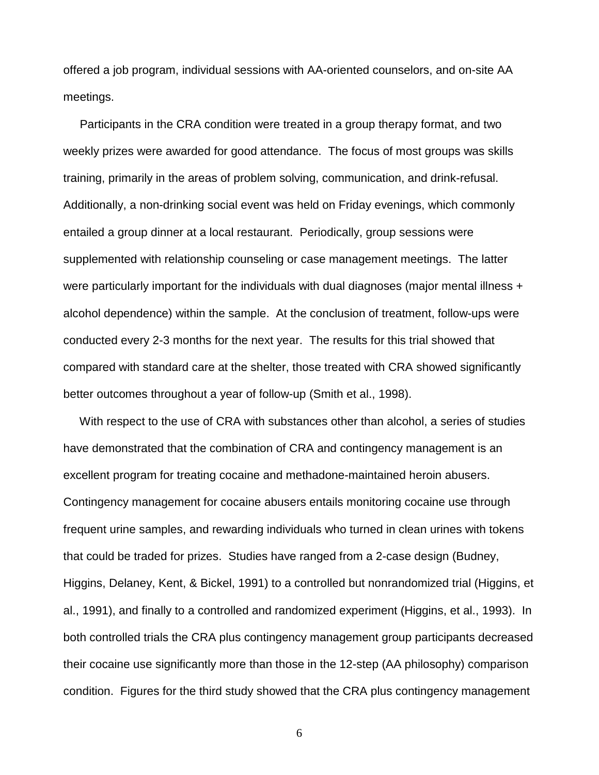offered a job program, individual sessions with AA-oriented counselors, and on-site AA meetings.

 Participants in the CRA condition were treated in a group therapy format, and two weekly prizes were awarded for good attendance. The focus of most groups was skills training, primarily in the areas of problem solving, communication, and drink-refusal. Additionally, a non-drinking social event was held on Friday evenings, which commonly entailed a group dinner at a local restaurant. Periodically, group sessions were supplemented with relationship counseling or case management meetings. The latter were particularly important for the individuals with dual diagnoses (major mental illness + alcohol dependence) within the sample. At the conclusion of treatment, follow-ups were conducted every 2-3 months for the next year. The results for this trial showed that compared with standard care at the shelter, those treated with CRA showed significantly better outcomes throughout a year of follow-up (Smith et al., 1998).

 With respect to the use of CRA with substances other than alcohol, a series of studies have demonstrated that the combination of CRA and contingency management is an excellent program for treating cocaine and methadone-maintained heroin abusers. Contingency management for cocaine abusers entails monitoring cocaine use through frequent urine samples, and rewarding individuals who turned in clean urines with tokens that could be traded for prizes. Studies have ranged from a 2-case design (Budney, Higgins, Delaney, Kent, & Bickel, 1991) to a controlled but nonrandomized trial (Higgins, et al., 1991), and finally to a controlled and randomized experiment (Higgins, et al., 1993). In both controlled trials the CRA plus contingency management group participants decreased their cocaine use significantly more than those in the 12-step (AA philosophy) comparison condition. Figures for the third study showed that the CRA plus contingency management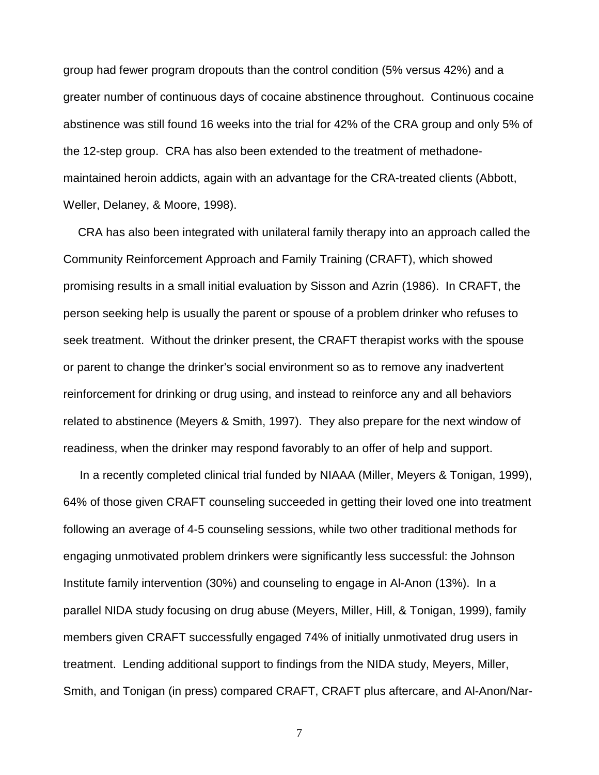group had fewer program dropouts than the control condition (5% versus 42%) and a greater number of continuous days of cocaine abstinence throughout. Continuous cocaine abstinence was still found 16 weeks into the trial for 42% of the CRA group and only 5% of the 12-step group. CRA has also been extended to the treatment of methadonemaintained heroin addicts, again with an advantage for the CRA-treated clients (Abbott, Weller, Delaney, & Moore, 1998).

 CRA has also been integrated with unilateral family therapy into an approach called the Community Reinforcement Approach and Family Training (CRAFT), which showed promising results in a small initial evaluation by Sisson and Azrin (1986). In CRAFT, the person seeking help is usually the parent or spouse of a problem drinker who refuses to seek treatment. Without the drinker present, the CRAFT therapist works with the spouse or parent to change the drinker's social environment so as to remove any inadvertent reinforcement for drinking or drug using, and instead to reinforce any and all behaviors related to abstinence (Meyers & Smith, 1997). They also prepare for the next window of readiness, when the drinker may respond favorably to an offer of help and support.

 In a recently completed clinical trial funded by NIAAA (Miller, Meyers & Tonigan, 1999), 64% of those given CRAFT counseling succeeded in getting their loved one into treatment following an average of 4-5 counseling sessions, while two other traditional methods for engaging unmotivated problem drinkers were significantly less successful: the Johnson Institute family intervention (30%) and counseling to engage in Al-Anon (13%). In a parallel NIDA study focusing on drug abuse (Meyers, Miller, Hill, & Tonigan, 1999), family members given CRAFT successfully engaged 74% of initially unmotivated drug users in treatment. Lending additional support to findings from the NIDA study, Meyers, Miller, Smith, and Tonigan (in press) compared CRAFT, CRAFT plus aftercare, and Al-Anon/Nar-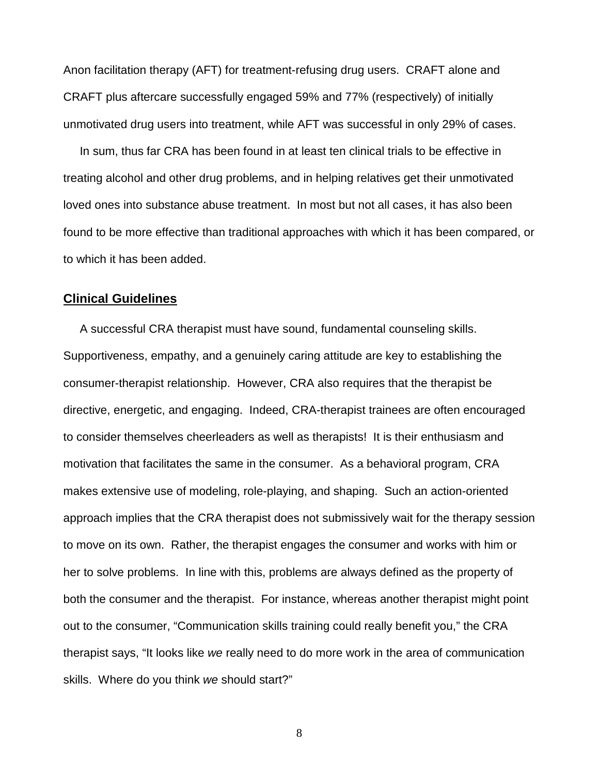<span id="page-7-0"></span>Anon facilitation therapy (AFT) for treatment-refusing drug users. CRAFT alone and CRAFT plus aftercare successfully engaged 59% and 77% (respectively) of initially unmotivated drug users into treatment, while AFT was successful in only 29% of cases.

 In sum, thus far CRA has been found in at least ten clinical trials to be effective in treating alcohol and other drug problems, and in helping relatives get their unmotivated loved ones into substance abuse treatment. In most but not all cases, it has also been found to be more effective than traditional approaches with which it has been compared, or to which it has been added.

## **Clinical Guidelines**

 A successful CRA therapist must have sound, fundamental counseling skills. Supportiveness, empathy, and a genuinely caring attitude are key to establishing the consumer-therapist relationship. However, CRA also requires that the therapist be directive, energetic, and engaging. Indeed, CRA-therapist trainees are often encouraged to consider themselves cheerleaders as well as therapists! It is their enthusiasm and motivation that facilitates the same in the consumer. As a behavioral program, CRA makes extensive use of modeling, role-playing, and shaping. Such an action-oriented approach implies that the CRA therapist does not submissively wait for the therapy session to move on its own. Rather, the therapist engages the consumer and works with him or her to solve problems. In line with this, problems are always defined as the property of both the consumer and the therapist. For instance, whereas another therapist might point out to the consumer, "Communication skills training could really benefit you," the CRA therapist says, "It looks like *we* really need to do more work in the area of communication skills. Where do you think *we* should start?"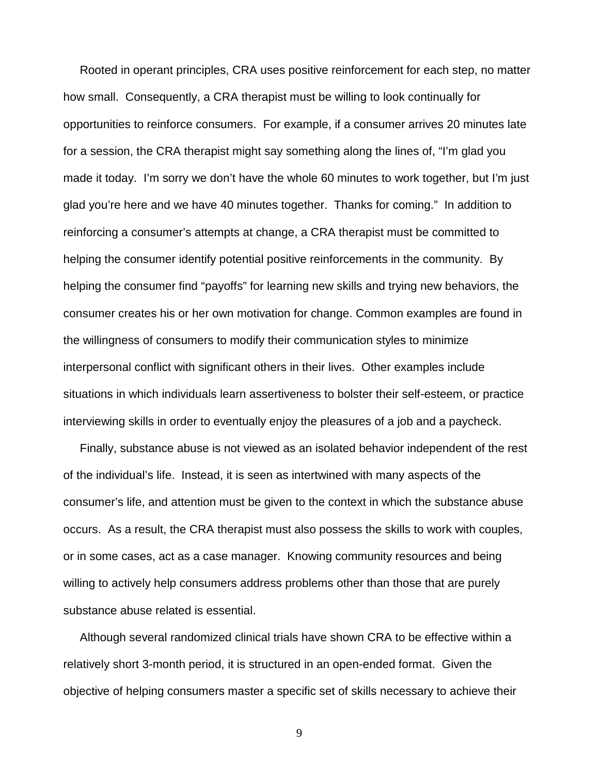Rooted in operant principles, CRA uses positive reinforcement for each step, no matter how small. Consequently, a CRA therapist must be willing to look continually for opportunities to reinforce consumers. For example, if a consumer arrives 20 minutes late for a session, the CRA therapist might say something along the lines of, "I'm glad you made it today. I'm sorry we don't have the whole 60 minutes to work together, but I'm just glad you're here and we have 40 minutes together. Thanks for coming." In addition to reinforcing a consumer's attempts at change, a CRA therapist must be committed to helping the consumer identify potential positive reinforcements in the community. By helping the consumer find "payoffs" for learning new skills and trying new behaviors, the consumer creates his or her own motivation for change. Common examples are found in the willingness of consumers to modify their communication styles to minimize interpersonal conflict with significant others in their lives. Other examples include situations in which individuals learn assertiveness to bolster their self-esteem, or practice interviewing skills in order to eventually enjoy the pleasures of a job and a paycheck.

 Finally, substance abuse is not viewed as an isolated behavior independent of the rest of the individual's life. Instead, it is seen as intertwined with many aspects of the consumer's life, and attention must be given to the context in which the substance abuse occurs. As a result, the CRA therapist must also possess the skills to work with couples, or in some cases, act as a case manager. Knowing community resources and being willing to actively help consumers address problems other than those that are purely substance abuse related is essential.

 Although several randomized clinical trials have shown CRA to be effective within a relatively short 3-month period, it is structured in an open-ended format. Given the objective of helping consumers master a specific set of skills necessary to achieve their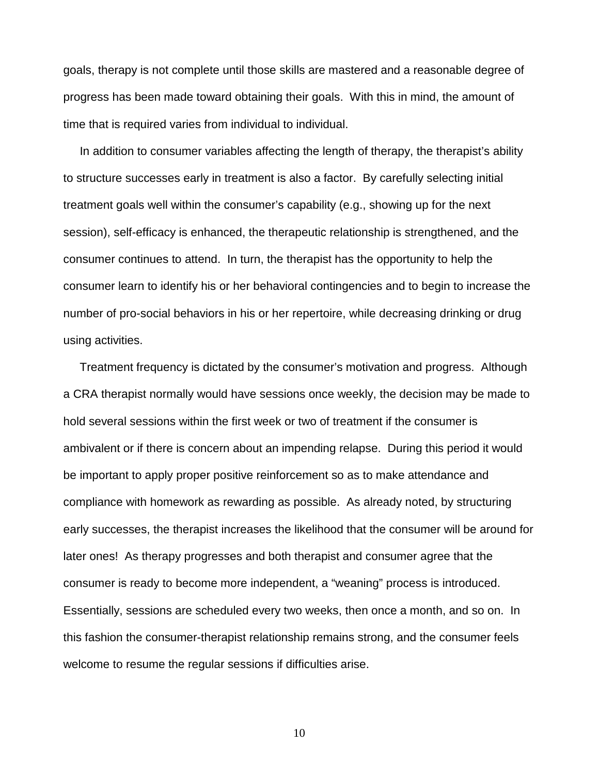goals, therapy is not complete until those skills are mastered and a reasonable degree of progress has been made toward obtaining their goals. With this in mind, the amount of time that is required varies from individual to individual.

 In addition to consumer variables affecting the length of therapy, the therapist's ability to structure successes early in treatment is also a factor. By carefully selecting initial treatment goals well within the consumer's capability (e.g., showing up for the next session), self-efficacy is enhanced, the therapeutic relationship is strengthened, and the consumer continues to attend. In turn, the therapist has the opportunity to help the consumer learn to identify his or her behavioral contingencies and to begin to increase the number of pro-social behaviors in his or her repertoire, while decreasing drinking or drug using activities.

 Treatment frequency is dictated by the consumer's motivation and progress. Although a CRA therapist normally would have sessions once weekly, the decision may be made to hold several sessions within the first week or two of treatment if the consumer is ambivalent or if there is concern about an impending relapse. During this period it would be important to apply proper positive reinforcement so as to make attendance and compliance with homework as rewarding as possible. As already noted, by structuring early successes, the therapist increases the likelihood that the consumer will be around for later ones! As therapy progresses and both therapist and consumer agree that the consumer is ready to become more independent, a "weaning" process is introduced. Essentially, sessions are scheduled every two weeks, then once a month, and so on. In this fashion the consumer-therapist relationship remains strong, and the consumer feels welcome to resume the regular sessions if difficulties arise.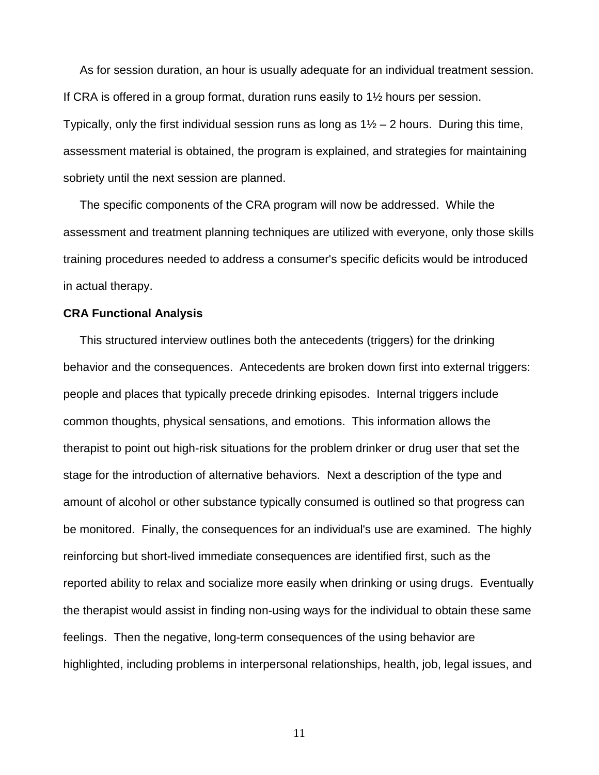<span id="page-10-0"></span> As for session duration, an hour is usually adequate for an individual treatment session. If CRA is offered in a group format, duration runs easily to 1½ hours per session. Typically, only the first individual session runs as long as  $1\frac{1}{2} - 2$  hours. During this time, assessment material is obtained, the program is explained, and strategies for maintaining sobriety until the next session are planned.

 The specific components of the CRA program will now be addressed. While the assessment and treatment planning techniques are utilized with everyone, only those skills training procedures needed to address a consumer's specific deficits would be introduced in actual therapy.

#### **CRA Functional Analysis**

 This structured interview outlines both the antecedents (triggers) for the drinking behavior and the consequences. Antecedents are broken down first into external triggers: people and places that typically precede drinking episodes. Internal triggers include common thoughts, physical sensations, and emotions. This information allows the therapist to point out high-risk situations for the problem drinker or drug user that set the stage for the introduction of alternative behaviors. Next a description of the type and amount of alcohol or other substance typically consumed is outlined so that progress can be monitored. Finally, the consequences for an individual's use are examined. The highly reinforcing but short-lived immediate consequences are identified first, such as the reported ability to relax and socialize more easily when drinking or using drugs. Eventually the therapist would assist in finding non-using ways for the individual to obtain these same feelings. Then the negative, long-term consequences of the using behavior are highlighted, including problems in interpersonal relationships, health, job, legal issues, and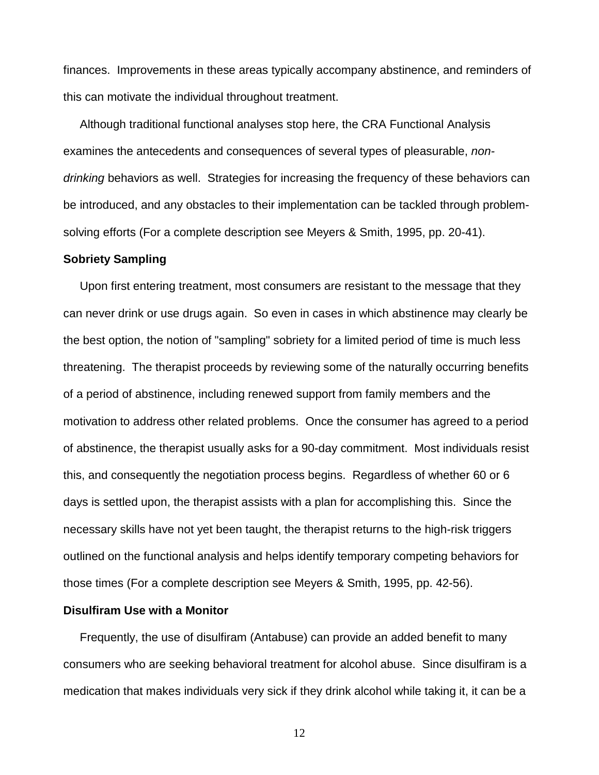<span id="page-11-0"></span>finances. Improvements in these areas typically accompany abstinence, and reminders of this can motivate the individual throughout treatment.

 Although traditional functional analyses stop here, the CRA Functional Analysis examines the antecedents and consequences of several types of pleasurable, *nondrinking* behaviors as well. Strategies for increasing the frequency of these behaviors can be introduced, and any obstacles to their implementation can be tackled through problemsolving efforts (For a complete description see Meyers & Smith, 1995, pp. 20-41).

#### **Sobriety Sampling**

 Upon first entering treatment, most consumers are resistant to the message that they can never drink or use drugs again. So even in cases in which abstinence may clearly be the best option, the notion of "sampling" sobriety for a limited period of time is much less threatening. The therapist proceeds by reviewing some of the naturally occurring benefits of a period of abstinence, including renewed support from family members and the motivation to address other related problems. Once the consumer has agreed to a period of abstinence, the therapist usually asks for a 90-day commitment. Most individuals resist this, and consequently the negotiation process begins. Regardless of whether 60 or 6 days is settled upon, the therapist assists with a plan for accomplishing this. Since the necessary skills have not yet been taught, the therapist returns to the high-risk triggers outlined on the functional analysis and helps identify temporary competing behaviors for those times (For a complete description see Meyers & Smith, 1995, pp. 42-56).

#### **Disulfiram Use with a Monitor**

 Frequently, the use of disulfiram (Antabuse) can provide an added benefit to many consumers who are seeking behavioral treatment for alcohol abuse. Since disulfiram is a medication that makes individuals very sick if they drink alcohol while taking it, it can be a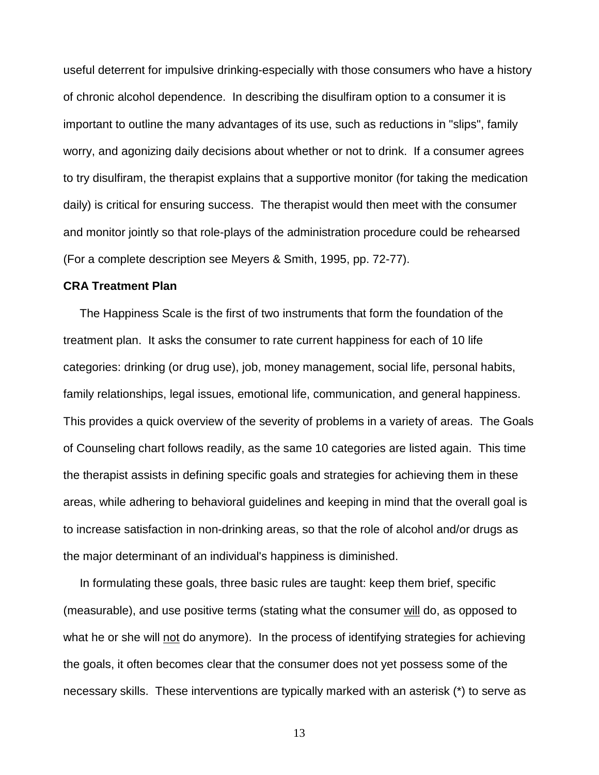<span id="page-12-0"></span>useful deterrent for impulsive drinking-especially with those consumers who have a history of chronic alcohol dependence. In describing the disulfiram option to a consumer it is important to outline the many advantages of its use, such as reductions in "slips", family worry, and agonizing daily decisions about whether or not to drink. If a consumer agrees to try disulfiram, the therapist explains that a supportive monitor (for taking the medication daily) is critical for ensuring success. The therapist would then meet with the consumer and monitor jointly so that role-plays of the administration procedure could be rehearsed (For a complete description see Meyers & Smith, 1995, pp. 72-77).

#### **CRA Treatment Plan**

 The Happiness Scale is the first of two instruments that form the foundation of the treatment plan. It asks the consumer to rate current happiness for each of 10 life categories: drinking (or drug use), job, money management, social life, personal habits, family relationships, legal issues, emotional life, communication, and general happiness. This provides a quick overview of the severity of problems in a variety of areas. The Goals of Counseling chart follows readily, as the same 10 categories are listed again. This time the therapist assists in defining specific goals and strategies for achieving them in these areas, while adhering to behavioral guidelines and keeping in mind that the overall goal is to increase satisfaction in non-drinking areas, so that the role of alcohol and/or drugs as the major determinant of an individual's happiness is diminished.

 In formulating these goals, three basic rules are taught: keep them brief, specific (measurable), and use positive terms (stating what the consumer will do, as opposed to what he or she will not do anymore). In the process of identifying strategies for achieving the goals, it often becomes clear that the consumer does not yet possess some of the necessary skills. These interventions are typically marked with an asterisk (\*) to serve as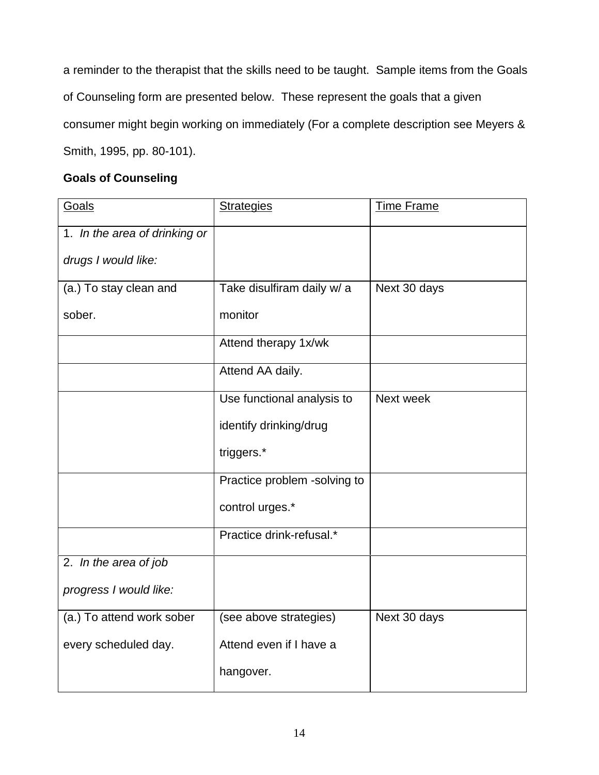a reminder to the therapist that the skills need to be taught. Sample items from the Goals of Counseling form are presented below. These represent the goals that a given consumer might begin working on immediately (For a complete description see Meyers & Smith, 1995, pp. 80-101).

## **Goals of Counseling**

| Goals                         | <b>Strategies</b>            | <b>Time Frame</b> |
|-------------------------------|------------------------------|-------------------|
| 1. In the area of drinking or |                              |                   |
| drugs I would like:           |                              |                   |
| (a.) To stay clean and        | Take disulfiram daily w/ a   | Next 30 days      |
| sober.                        | monitor                      |                   |
|                               | Attend therapy 1x/wk         |                   |
|                               | Attend AA daily.             |                   |
|                               | Use functional analysis to   | Next week         |
|                               | identify drinking/drug       |                   |
|                               | triggers.*                   |                   |
|                               | Practice problem -solving to |                   |
|                               | control urges.*              |                   |
|                               | Practice drink-refusal.*     |                   |
| 2. In the area of job         |                              |                   |
| progress I would like:        |                              |                   |
| (a.) To attend work sober     | (see above strategies)       | Next 30 days      |
| every scheduled day.          | Attend even if I have a      |                   |
|                               | hangover.                    |                   |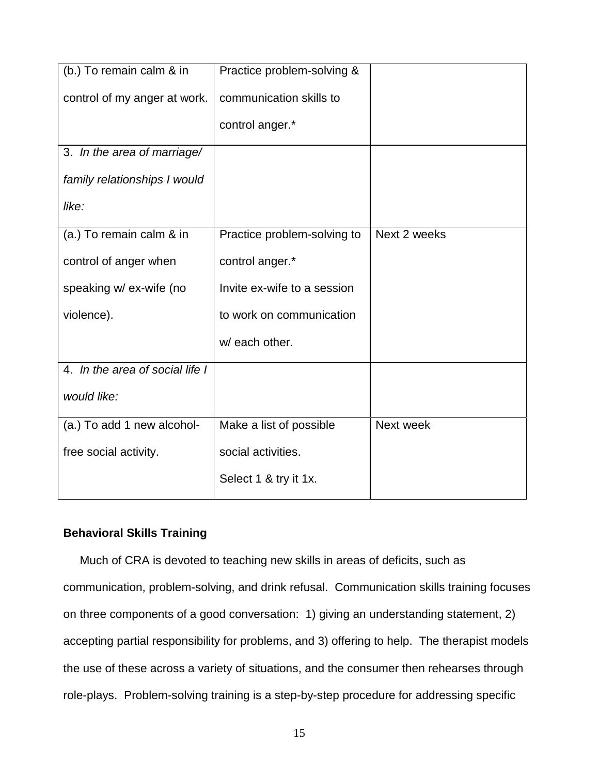<span id="page-14-0"></span>

| (b.) To remain calm & in        | Practice problem-solving &  |              |
|---------------------------------|-----------------------------|--------------|
| control of my anger at work.    | communication skills to     |              |
|                                 | control anger.*             |              |
| 3. In the area of marriage/     |                             |              |
| family relationships I would    |                             |              |
| like:                           |                             |              |
| (a.) To remain calm & in        | Practice problem-solving to | Next 2 weeks |
| control of anger when           | control anger.*             |              |
| speaking w/ ex-wife (no         | Invite ex-wife to a session |              |
| violence).                      | to work on communication    |              |
|                                 | w/ each other.              |              |
| 4. In the area of social life I |                             |              |
| would like:                     |                             |              |
| (a.) To add 1 new alcohol-      | Make a list of possible     | Next week    |
| free social activity.           | social activities.          |              |
|                                 | Select 1 & try it 1x.       |              |

## **Behavioral Skills Training**

 Much of CRA is devoted to teaching new skills in areas of deficits, such as communication, problem-solving, and drink refusal. Communication skills training focuses on three components of a good conversation: 1) giving an understanding statement, 2) accepting partial responsibility for problems, and 3) offering to help. The therapist models the use of these across a variety of situations, and the consumer then rehearses through role-plays. Problem-solving training is a step-by-step procedure for addressing specific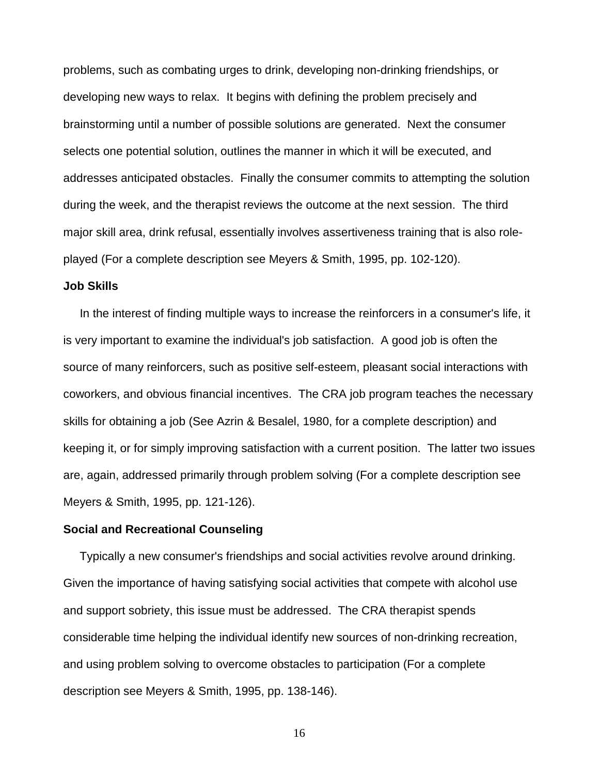<span id="page-15-0"></span>problems, such as combating urges to drink, developing non-drinking friendships, or developing new ways to relax. It begins with defining the problem precisely and brainstorming until a number of possible solutions are generated. Next the consumer selects one potential solution, outlines the manner in which it will be executed, and addresses anticipated obstacles. Finally the consumer commits to attempting the solution during the week, and the therapist reviews the outcome at the next session. The third major skill area, drink refusal, essentially involves assertiveness training that is also roleplayed (For a complete description see Meyers & Smith, 1995, pp. 102-120).

#### **Job Skills**

 In the interest of finding multiple ways to increase the reinforcers in a consumer's life, it is very important to examine the individual's job satisfaction. A good job is often the source of many reinforcers, such as positive self-esteem, pleasant social interactions with coworkers, and obvious financial incentives. The CRA job program teaches the necessary skills for obtaining a job (See Azrin & Besalel, 1980, for a complete description) and keeping it, or for simply improving satisfaction with a current position. The latter two issues are, again, addressed primarily through problem solving (For a complete description see Meyers & Smith, 1995, pp. 121-126).

#### **Social and Recreational Counseling**

 Typically a new consumer's friendships and social activities revolve around drinking. Given the importance of having satisfying social activities that compete with alcohol use and support sobriety, this issue must be addressed. The CRA therapist spends considerable time helping the individual identify new sources of non-drinking recreation, and using problem solving to overcome obstacles to participation (For a complete description see Meyers & Smith, 1995, pp. 138-146).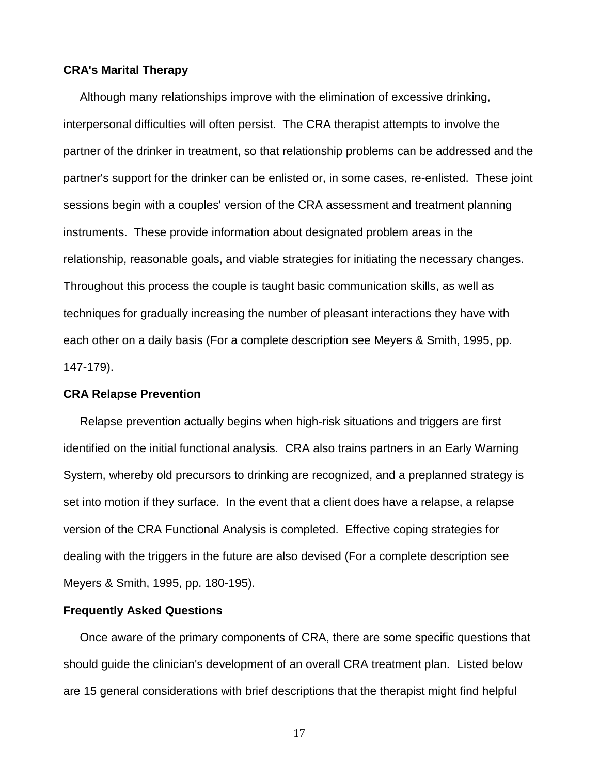#### <span id="page-16-0"></span>**CRA's Marital Therapy**

 Although many relationships improve with the elimination of excessive drinking, interpersonal difficulties will often persist. The CRA therapist attempts to involve the partner of the drinker in treatment, so that relationship problems can be addressed and the partner's support for the drinker can be enlisted or, in some cases, re-enlisted. These joint sessions begin with a couples' version of the CRA assessment and treatment planning instruments. These provide information about designated problem areas in the relationship, reasonable goals, and viable strategies for initiating the necessary changes. Throughout this process the couple is taught basic communication skills, as well as techniques for gradually increasing the number of pleasant interactions they have with each other on a daily basis (For a complete description see Meyers & Smith, 1995, pp. 147-179).

#### **CRA Relapse Prevention**

 Relapse prevention actually begins when high-risk situations and triggers are first identified on the initial functional analysis. CRA also trains partners in an Early Warning System, whereby old precursors to drinking are recognized, and a preplanned strategy is set into motion if they surface. In the event that a client does have a relapse, a relapse version of the CRA Functional Analysis is completed. Effective coping strategies for dealing with the triggers in the future are also devised (For a complete description see Meyers & Smith, 1995, pp. 180-195).

#### **Frequently Asked Questions**

 Once aware of the primary components of CRA, there are some specific questions that should guide the clinician's development of an overall CRA treatment plan. Listed below are 15 general considerations with brief descriptions that the therapist might find helpful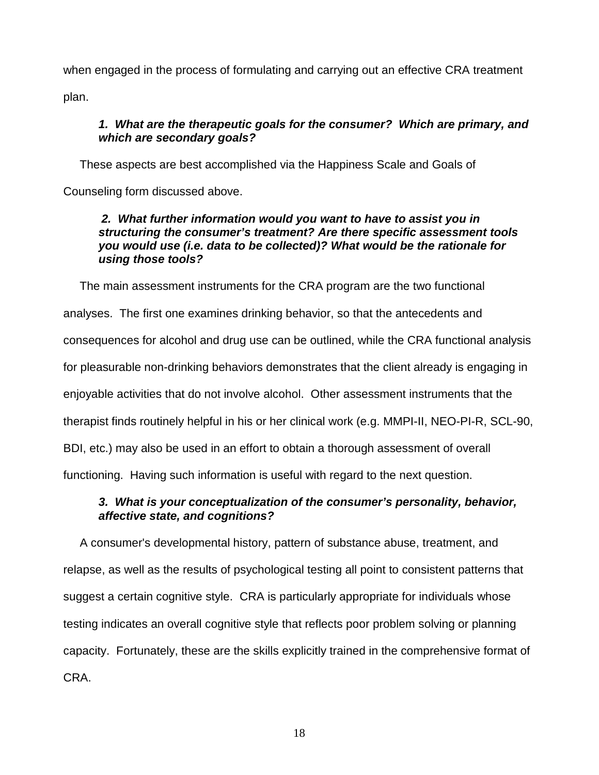when engaged in the process of formulating and carrying out an effective CRA treatment plan.

## *1. What are the therapeutic goals for the consumer? Which are primary, and which are secondary goals?*

 These aspects are best accomplished via the Happiness Scale and Goals of Counseling form discussed above.

## *2. What further information would you want to have to assist you in structuring the consumer's treatment? Are there specific assessment tools you would use (i.e. data to be collected)? What would be the rationale for using those tools?*

 The main assessment instruments for the CRA program are the two functional analyses. The first one examines drinking behavior, so that the antecedents and consequences for alcohol and drug use can be outlined, while the CRA functional analysis for pleasurable non-drinking behaviors demonstrates that the client already is engaging in enjoyable activities that do not involve alcohol. Other assessment instruments that the therapist finds routinely helpful in his or her clinical work (e.g. MMPI-II, NEO-PI-R, SCL-90, BDI, etc.) may also be used in an effort to obtain a thorough assessment of overall functioning. Having such information is useful with regard to the next question.

## *3. What is your conceptualization of the consumer's personality, behavior, affective state, and cognitions?*

 A consumer's developmental history, pattern of substance abuse, treatment, and relapse, as well as the results of psychological testing all point to consistent patterns that suggest a certain cognitive style. CRA is particularly appropriate for individuals whose testing indicates an overall cognitive style that reflects poor problem solving or planning capacity. Fortunately, these are the skills explicitly trained in the comprehensive format of CRA.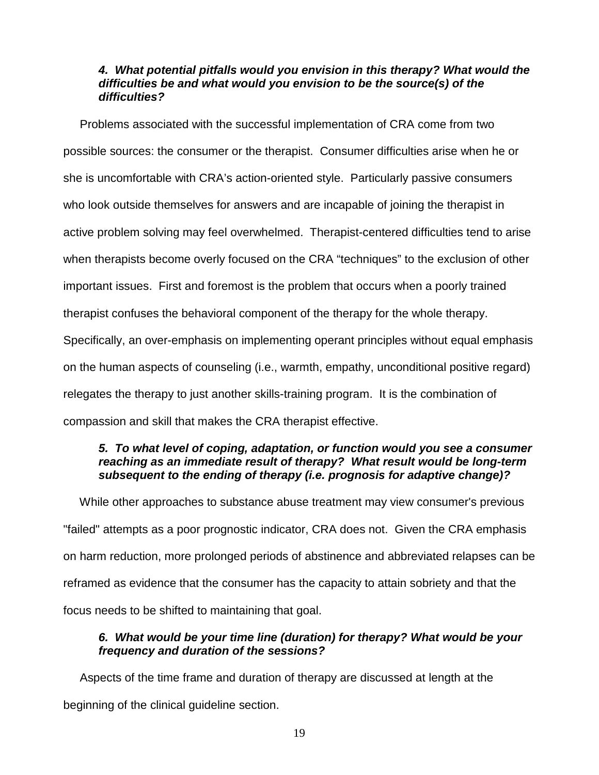## *4. What potential pitfalls would you envision in this therapy? What would the difficulties be and what would you envision to be the source(s) of the difficulties?*

 Problems associated with the successful implementation of CRA come from two possible sources: the consumer or the therapist. Consumer difficulties arise when he or she is uncomfortable with CRA's action-oriented style. Particularly passive consumers who look outside themselves for answers and are incapable of joining the therapist in active problem solving may feel overwhelmed. Therapist-centered difficulties tend to arise when therapists become overly focused on the CRA "techniques" to the exclusion of other important issues. First and foremost is the problem that occurs when a poorly trained therapist confuses the behavioral component of the therapy for the whole therapy. Specifically, an over-emphasis on implementing operant principles without equal emphasis on the human aspects of counseling (i.e., warmth, empathy, unconditional positive regard) relegates the therapy to just another skills-training program. It is the combination of compassion and skill that makes the CRA therapist effective.

## *5. To what level of coping, adaptation, or function would you see a consumer reaching as an immediate result of therapy? What result would be long-term subsequent to the ending of therapy (i.e. prognosis for adaptive change)?*

 While other approaches to substance abuse treatment may view consumer's previous "failed" attempts as a poor prognostic indicator, CRA does not. Given the CRA emphasis on harm reduction, more prolonged periods of abstinence and abbreviated relapses can be reframed as evidence that the consumer has the capacity to attain sobriety and that the focus needs to be shifted to maintaining that goal.

## *6. What would be your time line (duration) for therapy? What would be your frequency and duration of the sessions?*

 Aspects of the time frame and duration of therapy are discussed at length at the beginning of the clinical guideline section.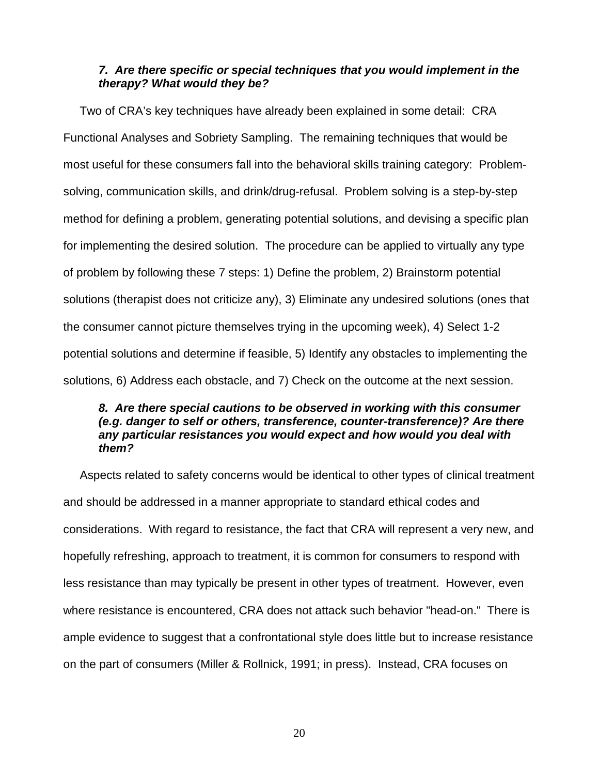## *7. Are there specific or special techniques that you would implement in the therapy? What would they be?*

 Two of CRA's key techniques have already been explained in some detail: CRA Functional Analyses and Sobriety Sampling. The remaining techniques that would be most useful for these consumers fall into the behavioral skills training category: Problemsolving, communication skills, and drink/drug-refusal. Problem solving is a step-by-step method for defining a problem, generating potential solutions, and devising a specific plan for implementing the desired solution. The procedure can be applied to virtually any type of problem by following these 7 steps: 1) Define the problem, 2) Brainstorm potential solutions (therapist does not criticize any), 3) Eliminate any undesired solutions (ones that the consumer cannot picture themselves trying in the upcoming week), 4) Select 1-2 potential solutions and determine if feasible, 5) Identify any obstacles to implementing the solutions, 6) Address each obstacle, and 7) Check on the outcome at the next session.

#### *8. Are there special cautions to be observed in working with this consumer (e.g. danger to self or others, transference, counter-transference)? Are there any particular resistances you would expect and how would you deal with them?*

 Aspects related to safety concerns would be identical to other types of clinical treatment and should be addressed in a manner appropriate to standard ethical codes and considerations. With regard to resistance, the fact that CRA will represent a very new, and hopefully refreshing, approach to treatment, it is common for consumers to respond with less resistance than may typically be present in other types of treatment. However, even where resistance is encountered, CRA does not attack such behavior "head-on." There is ample evidence to suggest that a confrontational style does little but to increase resistance on the part of consumers (Miller & Rollnick, 1991; in press). Instead, CRA focuses on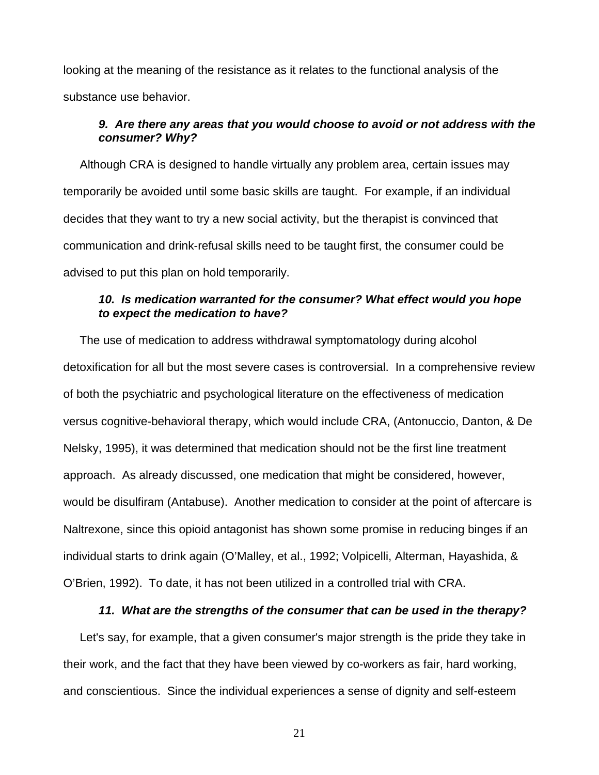looking at the meaning of the resistance as it relates to the functional analysis of the substance use behavior.

#### *9. Are there any areas that you would choose to avoid or not address with the consumer? Why?*

 Although CRA is designed to handle virtually any problem area, certain issues may temporarily be avoided until some basic skills are taught. For example, if an individual decides that they want to try a new social activity, but the therapist is convinced that communication and drink-refusal skills need to be taught first, the consumer could be advised to put this plan on hold temporarily.

#### *10. Is medication warranted for the consumer? What effect would you hope to expect the medication to have?*

 The use of medication to address withdrawal symptomatology during alcohol detoxification for all but the most severe cases is controversial. In a comprehensive review of both the psychiatric and psychological literature on the effectiveness of medication versus cognitive-behavioral therapy, which would include CRA, (Antonuccio, Danton, & De Nelsky, 1995), it was determined that medication should not be the first line treatment approach. As already discussed, one medication that might be considered, however, would be disulfiram (Antabuse). Another medication to consider at the point of aftercare is Naltrexone, since this opioid antagonist has shown some promise in reducing binges if an individual starts to drink again (O'Malley, et al., 1992; Volpicelli, Alterman, Hayashida, & O'Brien, 1992). To date, it has not been utilized in a controlled trial with CRA.

#### *11. What are the strengths of the consumer that can be used in the therapy?*

 Let's say, for example, that a given consumer's major strength is the pride they take in their work, and the fact that they have been viewed by co-workers as fair, hard working, and conscientious. Since the individual experiences a sense of dignity and self-esteem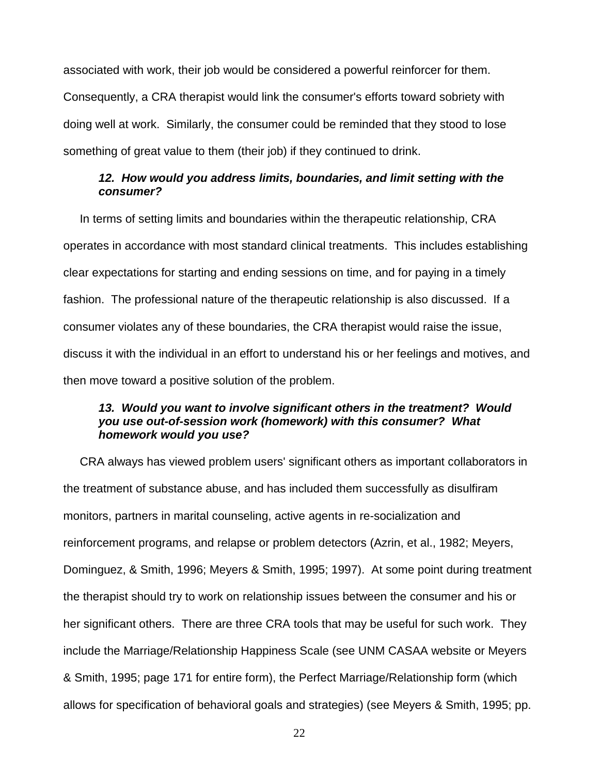associated with work, their job would be considered a powerful reinforcer for them. Consequently, a CRA therapist would link the consumer's efforts toward sobriety with doing well at work. Similarly, the consumer could be reminded that they stood to lose something of great value to them (their job) if they continued to drink.

#### *12. How would you address limits, boundaries, and limit setting with the consumer?*

 In terms of setting limits and boundaries within the therapeutic relationship, CRA operates in accordance with most standard clinical treatments. This includes establishing clear expectations for starting and ending sessions on time, and for paying in a timely fashion. The professional nature of the therapeutic relationship is also discussed. If a consumer violates any of these boundaries, the CRA therapist would raise the issue, discuss it with the individual in an effort to understand his or her feelings and motives, and then move toward a positive solution of the problem.

## *13. Would you want to involve significant others in the treatment? Would you use out-of-session work (homework) with this consumer? What homework would you use?*

 CRA always has viewed problem users' significant others as important collaborators in the treatment of substance abuse, and has included them successfully as disulfiram monitors, partners in marital counseling, active agents in re-socialization and reinforcement programs, and relapse or problem detectors (Azrin, et al., 1982; Meyers, Dominguez, & Smith, 1996; Meyers & Smith, 1995; 1997). At some point during treatment the therapist should try to work on relationship issues between the consumer and his or her significant others. There are three CRA tools that may be useful for such work. They include the Marriage/Relationship Happiness Scale (see UNM CASAA website or Meyers & Smith, 1995; page 171 for entire form), the Perfect Marriage/Relationship form (which allows for specification of behavioral goals and strategies) (see Meyers & Smith, 1995; pp.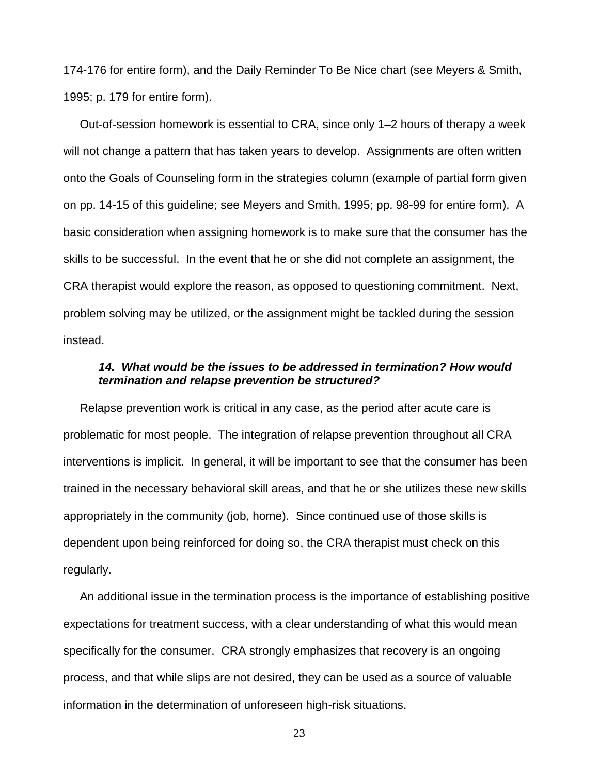174-176 for entire form), and the Daily Reminder To Be Nice chart (see Meyers & Smith, 1995; p. 179 for entire form).

 Out-of-session homework is essential to CRA, since only 1–2 hours of therapy a week will not change a pattern that has taken years to develop. Assignments are often written onto the Goals of Counseling form in the strategies column (example of partial form given on pp. 14-15 of this guideline; see Meyers and Smith, 1995; pp. 98-99 for entire form). A basic consideration when assigning homework is to make sure that the consumer has the skills to be successful. In the event that he or she did not complete an assignment, the CRA therapist would explore the reason, as opposed to questioning commitment. Next, problem solving may be utilized, or the assignment might be tackled during the session instead.

#### *14. What would be the issues to be addressed in termination? How would termination and relapse prevention be structured?*

 Relapse prevention work is critical in any case, as the period after acute care is problematic for most people. The integration of relapse prevention throughout all CRA interventions is implicit. In general, it will be important to see that the consumer has been trained in the necessary behavioral skill areas, and that he or she utilizes these new skills appropriately in the community (job, home). Since continued use of those skills is dependent upon being reinforced for doing so, the CRA therapist must check on this regularly.

 An additional issue in the termination process is the importance of establishing positive expectations for treatment success, with a clear understanding of what this would mean specifically for the consumer. CRA strongly emphasizes that recovery is an ongoing process, and that while slips are not desired, they can be used as a source of valuable information in the determination of unforeseen high-risk situations.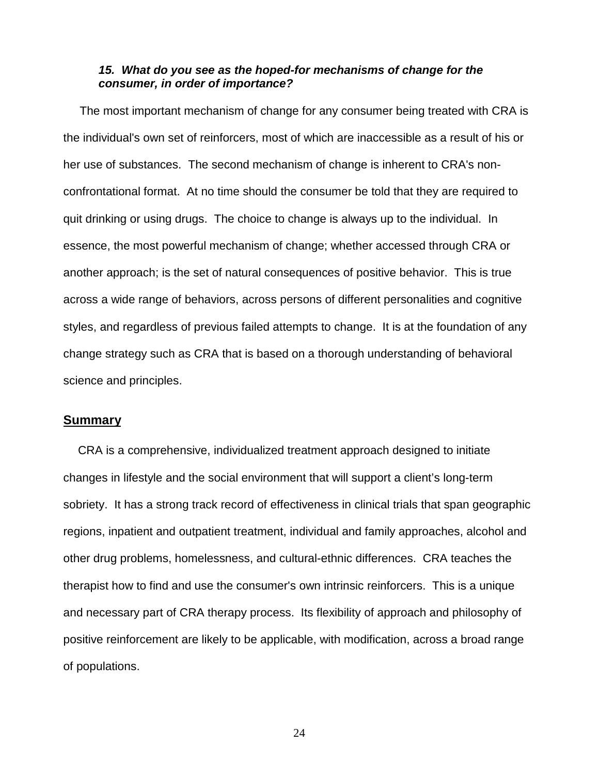#### <span id="page-23-0"></span>*15. What do you see as the hoped-for mechanisms of change for the consumer, in order of importance?*

 The most important mechanism of change for any consumer being treated with CRA is the individual's own set of reinforcers, most of which are inaccessible as a result of his or her use of substances. The second mechanism of change is inherent to CRA's nonconfrontational format. At no time should the consumer be told that they are required to quit drinking or using drugs. The choice to change is always up to the individual. In essence, the most powerful mechanism of change; whether accessed through CRA or another approach; is the set of natural consequences of positive behavior. This is true across a wide range of behaviors, across persons of different personalities and cognitive styles, and regardless of previous failed attempts to change. It is at the foundation of any change strategy such as CRA that is based on a thorough understanding of behavioral science and principles.

#### **Summary**

 CRA is a comprehensive, individualized treatment approach designed to initiate changes in lifestyle and the social environment that will support a client's long-term sobriety. It has a strong track record of effectiveness in clinical trials that span geographic regions, inpatient and outpatient treatment, individual and family approaches, alcohol and other drug problems, homelessness, and cultural-ethnic differences. CRA teaches the therapist how to find and use the consumer's own intrinsic reinforcers. This is a unique and necessary part of CRA therapy process. Its flexibility of approach and philosophy of positive reinforcement are likely to be applicable, with modification, across a broad range of populations.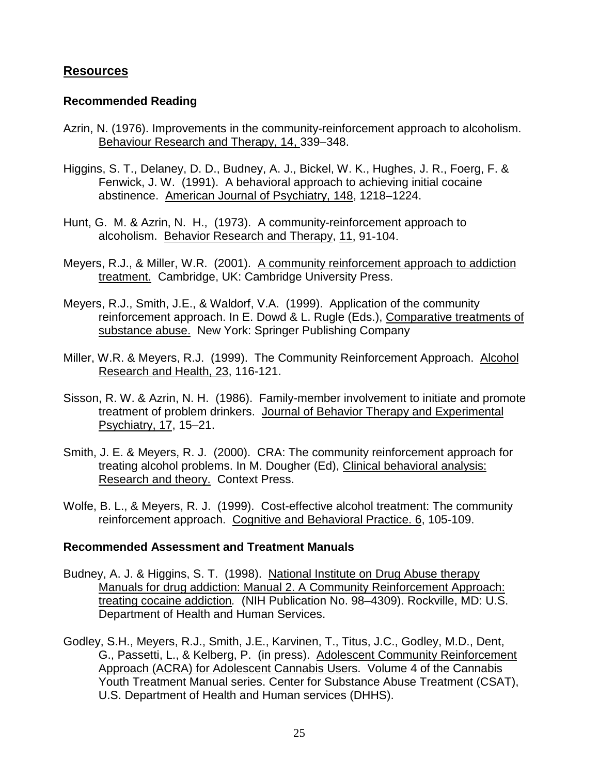## <span id="page-24-0"></span>**Resources**

## **Recommended Reading**

- Azrin, N. (1976). Improvements in the community-reinforcement approach to alcoholism. Behaviour Research and Therapy, 14, 339–348.
- Higgins, S. T., Delaney, D. D., Budney, A. J., Bickel, W. K., Hughes, J. R., Foerg, F. & Fenwick, J. W. (1991). A behavioral approach to achieving initial cocaine abstinence. American Journal of Psychiatry, 148, 1218–1224.
- Hunt, G. M. & Azrin, N. H., (1973). A community-reinforcement approach to alcoholism. Behavior Research and Therapy, 11, 91-104.
- Meyers, R.J., & Miller, W.R. (2001). A community reinforcement approach to addiction treatment. Cambridge, UK: Cambridge University Press.
- Meyers, R.J., Smith, J.E., & Waldorf, V.A. (1999). Application of the community reinforcement approach. In E. Dowd & L. Rugle (Eds.), Comparative treatments of substance abuse. New York: Springer Publishing Company
- Miller, W.R. & Meyers, R.J. (1999). The Community Reinforcement Approach. Alcohol Research and Health, 23, 116-121.
- Sisson, R. W. & Azrin, N. H. (1986). Family-member involvement to initiate and promote treatment of problem drinkers. Journal of Behavior Therapy and Experimental Psychiatry, 17, 15–21.
- Smith, J. E. & Meyers, R. J. (2000). CRA: The community reinforcement approach for treating alcohol problems. In M. Dougher (Ed), Clinical behavioral analysis: Research and theory. Context Press.
- Wolfe, B. L., & Meyers, R. J. (1999). Cost-effective alcohol treatment: The community reinforcement approach. Cognitive and Behavioral Practice. 6, 105-109.

#### **Recommended Assessment and Treatment Manuals**

- Budney, A. J. & Higgins, S. T. (1998). National Institute on Drug Abuse therapy Manuals for drug addiction: Manual 2. A Community Reinforcement Approach: treating cocaine addiction*.* (NIH Publication No. 98–4309). Rockville, MD: U.S. Department of Health and Human Services.
- Godley, S.H., Meyers, R.J., Smith, J.E., Karvinen, T., Titus, J.C., Godley, M.D., Dent, G., Passetti, L., & Kelberg, P. (in press). Adolescent Community Reinforcement Approach (ACRA) for Adolescent Cannabis Users. Volume 4 of the Cannabis Youth Treatment Manual series. Center for Substance Abuse Treatment (CSAT), U.S. Department of Health and Human services (DHHS).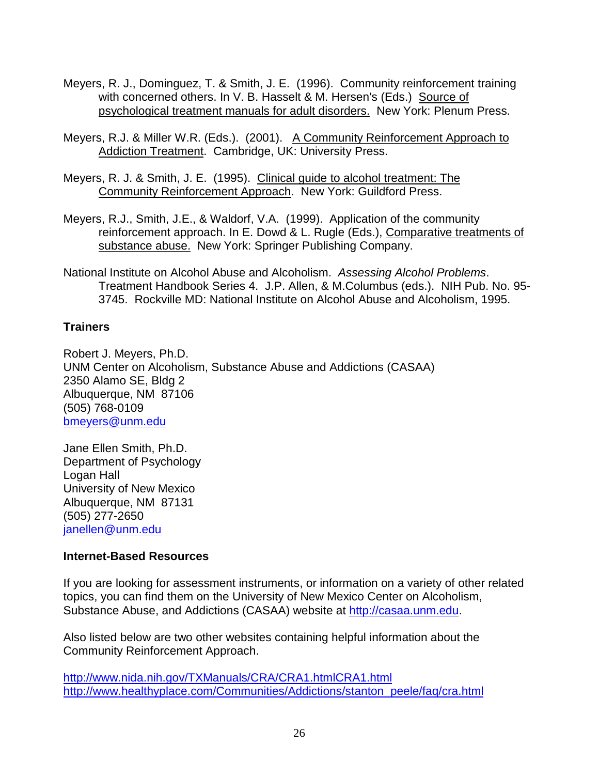- <span id="page-25-0"></span>Meyers, R. J., Dominguez, T. & Smith, J. E. (1996). Community reinforcement training with concerned others. In V. B. Hasselt & M. Hersen's (Eds.) Source of psychological treatment manuals for adult disorders. New York: Plenum Press.
- Meyers, R.J. & Miller W.R. (Eds.). (2001). A Community Reinforcement Approach to Addiction Treatment. Cambridge, UK: University Press.
- Meyers, R. J. & Smith, J. E. (1995). Clinical guide to alcohol treatment: The Community Reinforcement Approach. New York: Guildford Press.
- Meyers, R.J., Smith, J.E., & Waldorf, V.A. (1999). Application of the community reinforcement approach. In E. Dowd & L. Rugle (Eds.), Comparative treatments of substance abuse. New York: Springer Publishing Company.
- National Institute on Alcohol Abuse and Alcoholism. *Assessing Alcohol Problems*. Treatment Handbook Series 4. J.P. Allen, & M.Columbus (eds.). NIH Pub. No. 95- 3745. Rockville MD: National Institute on Alcohol Abuse and Alcoholism, 1995.

## **Trainers**

Robert J. Meyers, Ph.D. UNM Center on Alcoholism, Substance Abuse and Addictions (CASAA) 2350 Alamo SE, Bldg 2 Albuquerque, NM 87106 (505) 768-0109 bmeyers@unm.edu

Jane Ellen Smith, Ph.D. Department of Psychology Logan Hall University of New Mexico Albuquerque, NM 87131 (505) 277-2650 janellen@unm.edu

## **Internet-Based Resources**

If you are looking for assessment instruments, or information on a variety of other related topics, you can find them on the University of New Mexico Center on Alcoholism, Substance Abuse, and Addictions (CASAA) website at [http://casaa.unm.edu.](#page-2-0)

Also listed below are two other websites containing helpful information about the Community Reinforcement Approach.

http://www.nida.nih.gov/TXManuals/CRA/CRA1.htmlCRA1.html http://www.healthyplace.com/Communities/Addictions/stanton\_peele/faq/cra.html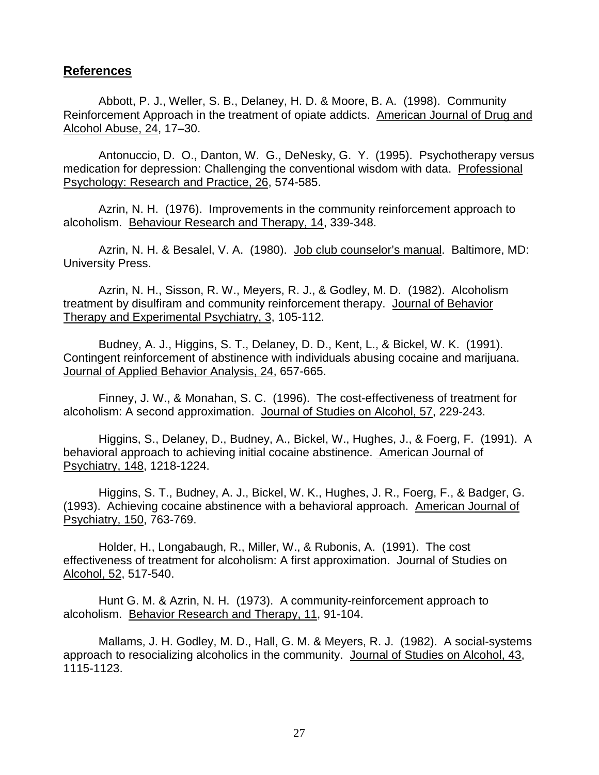#### <span id="page-26-0"></span>**References**

Abbott, P. J., Weller, S. B., Delaney, H. D. & Moore, B. A. (1998). Community Reinforcement Approach in the treatment of opiate addicts. American Journal of Drug and Alcohol Abuse, 24, 17–30.

Antonuccio, D. O., Danton, W. G., DeNesky, G. Y. (1995). Psychotherapy versus medication for depression: Challenging the conventional wisdom with data. Professional Psychology: Research and Practice, 26, 574-585.

Azrin, N. H. (1976). Improvements in the community reinforcement approach to alcoholism. Behaviour Research and Therapy, 14, 339-348.

Azrin, N. H. & Besalel, V. A. (1980). Job club counselor's manual. Baltimore, MD: University Press.

Azrin, N. H., Sisson, R. W., Meyers, R. J., & Godley, M. D. (1982). Alcoholism treatment by disulfiram and community reinforcement therapy. Journal of Behavior Therapy and Experimental Psychiatry, 3, 105-112.

Budney, A. J., Higgins, S. T., Delaney, D. D., Kent, L., & Bickel, W. K. (1991). Contingent reinforcement of abstinence with individuals abusing cocaine and marijuana. Journal of Applied Behavior Analysis, 24, 657-665.

Finney, J. W., & Monahan, S. C. (1996). The cost-effectiveness of treatment for alcoholism: A second approximation. Journal of Studies on Alcohol, 57, 229-243.

Higgins, S., Delaney, D., Budney, A., Bickel, W., Hughes, J., & Foerg, F. (1991). A behavioral approach to achieving initial cocaine abstinence. American Journal of Psychiatry, 148, 1218-1224.

Higgins, S. T., Budney, A. J., Bickel, W. K., Hughes, J. R., Foerg, F., & Badger, G. (1993). Achieving cocaine abstinence with a behavioral approach. American Journal of Psychiatry, 150, 763-769.

Holder, H., Longabaugh, R., Miller, W., & Rubonis, A. (1991). The cost effectiveness of treatment for alcoholism: A first approximation. Journal of Studies on Alcohol, 52, 517-540.

Hunt G. M. & Azrin, N. H. (1973). A community-reinforcement approach to alcoholism. Behavior Research and Therapy, 11, 91-104.

Mallams, J. H. Godley, M. D., Hall, G. M. & Meyers, R. J. (1982). A social-systems approach to resocializing alcoholics in the community. Journal of Studies on Alcohol, 43, 1115-1123.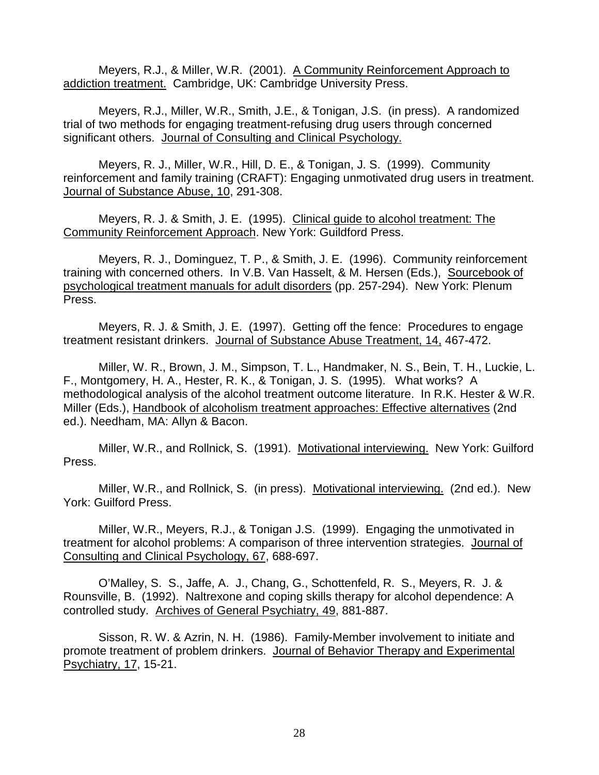Meyers, R.J., & Miller, W.R. (2001). A Community Reinforcement Approach to addiction treatment. Cambridge, UK: Cambridge University Press.

Meyers, R.J., Miller, W.R., Smith, J.E., & Tonigan, J.S. (in press). A randomized trial of two methods for engaging treatment-refusing drug users through concerned significant others. Journal of Consulting and Clinical Psychology.

Meyers, R. J., Miller, W.R., Hill, D. E., & Tonigan, J. S. (1999). Community reinforcement and family training (CRAFT): Engaging unmotivated drug users in treatment. Journal of Substance Abuse, 10, 291-308.

Meyers, R. J. & Smith, J. E. (1995). Clinical guide to alcohol treatment: The Community Reinforcement Approach. New York: Guildford Press.

Meyers, R. J., Dominguez, T. P., & Smith, J. E. (1996). Community reinforcement training with concerned others. In V.B. Van Hasselt, & M. Hersen (Eds.), Sourcebook of psychological treatment manuals for adult disorders (pp. 257-294). New York: Plenum Press.

Meyers, R. J. & Smith, J. E. (1997). Getting off the fence: Procedures to engage treatment resistant drinkers. Journal of Substance Abuse Treatment, 14, 467-472.

Miller, W. R., Brown, J. M., Simpson, T. L., Handmaker, N. S., Bein, T. H., Luckie, L. F., Montgomery, H. A., Hester, R. K., & Tonigan, J. S. (1995). What works? A methodological analysis of the alcohol treatment outcome literature. In R.K. Hester & W.R. Miller (Eds.), Handbook of alcoholism treatment approaches: Effective alternatives (2nd ed.). Needham, MA: Allyn & Bacon.

Miller, W.R., and Rollnick, S. (1991). Motivational interviewing. New York: Guilford Press.

Miller, W.R., and Rollnick, S. (in press). Motivational interviewing. (2nd ed.). New York: Guilford Press.

Miller, W.R., Meyers, R.J., & Tonigan J.S. (1999). Engaging the unmotivated in treatment for alcohol problems: A comparison of three intervention strategies. Journal of Consulting and Clinical Psychology, 67, 688-697.

O'Malley, S. S., Jaffe, A. J., Chang, G., Schottenfeld, R. S., Meyers, R. J. & Rounsville, B. (1992). Naltrexone and coping skills therapy for alcohol dependence: A controlled study. Archives of General Psychiatry, 49, 881-887.

Sisson, R. W. & Azrin, N. H. (1986). Family-Member involvement to initiate and promote treatment of problem drinkers. Journal of Behavior Therapy and Experimental Psychiatry, 17, 15-21.